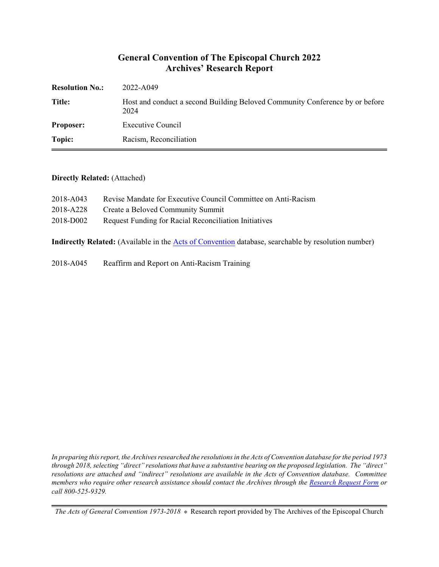## **General Convention of The Episcopal Church 2022 Archives' Research Report**

| <b>Resolution No.:</b> | 2022-A049                                                                            |
|------------------------|--------------------------------------------------------------------------------------|
| <b>Title:</b>          | Host and conduct a second Building Beloved Community Conference by or before<br>2024 |
| <b>Proposer:</b>       | Executive Council                                                                    |
| Topic:                 | Racism, Reconciliation                                                               |

#### **Directly Related:** (Attached)

| 2018-A043 | Revise Mandate for Executive Council Committee on Anti-Racism |
|-----------|---------------------------------------------------------------|
| 2018-A228 | Create a Beloved Community Summit                             |
| 2018-D002 | Request Funding for Racial Reconciliation Initiatives         |

**Indirectly Related:** (Available in the [Acts of Convention](https://www.episcopalarchives.org/e-archives/acts/) database, searchable by resolution number)

2018-A045 Reaffirm and Report on Anti-Racism Training

*In preparing this report, the Archives researched the resolutions in the Acts of Convention database for the period 1973 through 2018, selecting "direct" resolutions that have a substantive bearing on the proposed legislation. The "direct" resolutions are attached and "indirect" resolutions are available in the Acts of Convention database. Committee members who require other research assistance should contact the Archives through the Research [Request Form](https://www.episcopalarchives.org/contact/research-request-form) or call 800-525-9329.*

*The Acts of General Convention 1973-2018*  $*$  Research report provided by The Archives of the Episcopal Church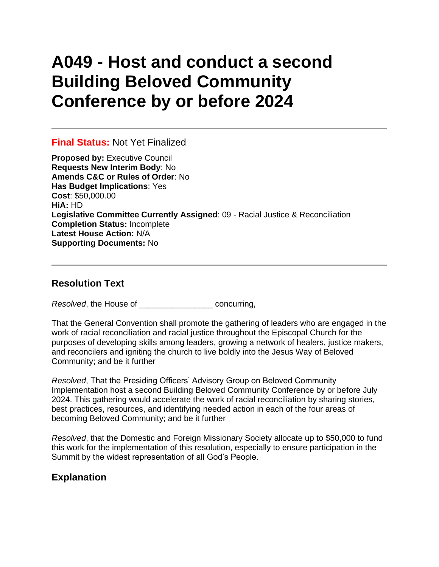# **A049 - Host and conduct a second Building Beloved Community Conference by or before 2024**

## **Final Status:** Not Yet Finalized

**Proposed by:** Executive Council **Requests New Interim Body**: No **Amends C&C or Rules of Order**: No **Has Budget Implications**: Yes **Cost**: \$50,000.00 **HiA:** HD **Legislative Committee Currently Assigned**: 09 - Racial Justice & Reconciliation **Completion Status:** Incomplete **Latest House Action:** N/A **Supporting Documents:** No

## **Resolution Text**

*Resolved*, the House of \_\_\_\_\_\_\_\_\_\_\_\_\_\_\_\_ concurring,

That the General Convention shall promote the gathering of leaders who are engaged in the work of racial reconciliation and racial justice throughout the Episcopal Church for the purposes of developing skills among leaders, growing a network of healers, justice makers, and reconcilers and igniting the church to live boldly into the Jesus Way of Beloved Community; and be it further

*Resolved*, That the Presiding Officers' Advisory Group on Beloved Community Implementation host a second Building Beloved Community Conference by or before July 2024. This gathering would accelerate the work of racial reconciliation by sharing stories, best practices, resources, and identifying needed action in each of the four areas of becoming Beloved Community; and be it further

*Resolved*, that the Domestic and Foreign Missionary Society allocate up to \$50,000 to fund this work for the implementation of this resolution, especially to ensure participation in the Summit by the widest representation of all God's People.

## **Explanation**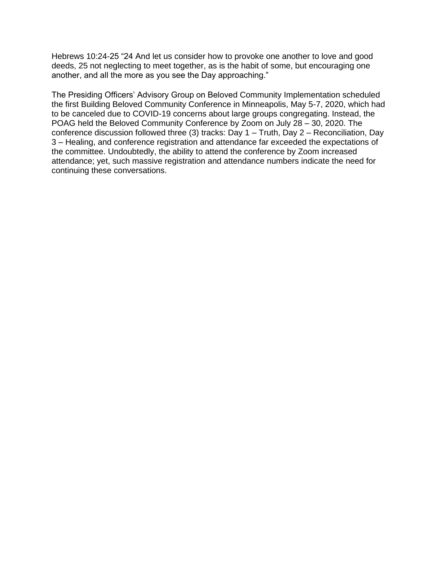Hebrews 10:24-25 "24 And let us consider how to provoke one another to love and good deeds, 25 not neglecting to meet together, as is the habit of some, but encouraging one another, and all the more as you see the Day approaching."

The Presiding Officers' Advisory Group on Beloved Community Implementation scheduled the first Building Beloved Community Conference in Minneapolis, May 5-7, 2020, which had to be canceled due to COVID-19 concerns about large groups congregating. Instead, the POAG held the Beloved Community Conference by Zoom on July 28 – 30, 2020. The conference discussion followed three (3) tracks: Day 1 – Truth, Day 2 – Reconciliation, Day 3 – Healing, and conference registration and attendance far exceeded the expectations of the committee. Undoubtedly, the ability to attend the conference by Zoom increased attendance; yet, such massive registration and attendance numbers indicate the need for continuing these conversations.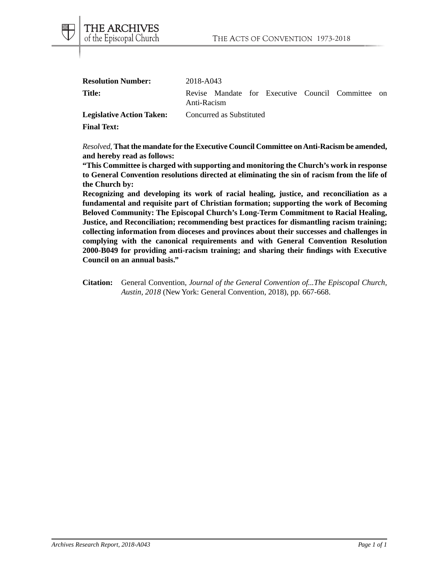| <b>Resolution Number:</b>        | 2018-A043                |  |  |  |  |                                                   |  |
|----------------------------------|--------------------------|--|--|--|--|---------------------------------------------------|--|
| Title:                           | Anti-Racism              |  |  |  |  | Revise Mandate for Executive Council Committee on |  |
| <b>Legislative Action Taken:</b> | Concurred as Substituted |  |  |  |  |                                                   |  |

**Final Text:**

THE ARCHIVES of the Episcopal Church

*Resolved*, **That the mandate for the Executive Council Committee on Anti-Racism be amended, and hereby read as follows:**

**"This Committee is charged with supporting and monitoring the Church's work in response to General Convention resolutions directed at eliminating the sin of racism from the life of the Church by:**

**Recognizing and developing its work of racial healing, justice, and reconciliation as a fundamental and requisite part of Christian formation; supporting the work of Becoming Beloved Community: The Episcopal Church's Long-Term Commitment to Racial Healing, Justice, and Reconciliation; recommending best practices for dismantling racism training; collecting information from dioceses and provinces about their successes and challenges in complying with the canonical requirements and with General Convention Resolution 2000-B049 for providing anti-racism training; and sharing their findings with Executive Council on an annual basis."**

**Citation:** General Convention, *Journal of the General Convention of...The Episcopal Church, Austin, 2018* (New York: General Convention, 2018), pp. 667-668.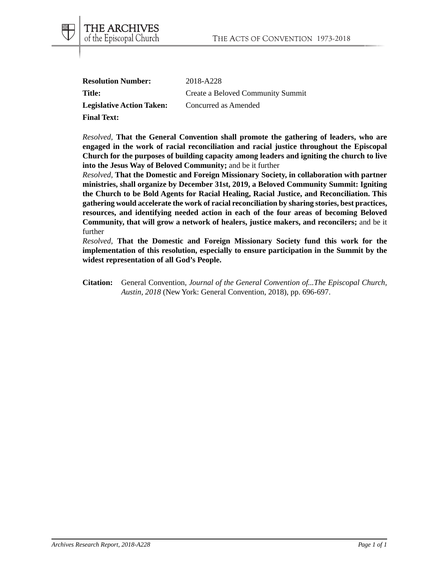| <b>Resolution Number:</b>        | 2018-A228                         |
|----------------------------------|-----------------------------------|
| Title:                           | Create a Beloved Community Summit |
| <b>Legislative Action Taken:</b> | Concurred as Amended              |
| <b>Final Text:</b>               |                                   |

THE ARCHIVES of the Episcopal Church

*Resolved*, **That the General Convention shall promote the gathering of leaders, who are engaged in the work of racial reconciliation and racial justice throughout the Episcopal Church for the purposes of building capacity among leaders and igniting the church to live into the Jesus Way of Beloved Community;** and be it further

*Resolved*, **That the Domestic and Foreign Missionary Society, in collaboration with partner ministries, shall organize by December 31st, 2019, a Beloved Community Summit: Igniting the Church to be Bold Agents for Racial Healing, Racial Justice, and Reconciliation. This gathering would accelerate the work of racial reconciliation by sharing stories, best practices, resources, and identifying needed action in each of the four areas of becoming Beloved Community, that will grow a network of healers, justice makers, and reconcilers;** and be it further

*Resolved*, **That the Domestic and Foreign Missionary Society fund this work for the implementation of this resolution, especially to ensure participation in the Summit by the widest representation of all God's People.**

**Citation:** General Convention, *Journal of the General Convention of...The Episcopal Church, Austin, 2018* (New York: General Convention, 2018), pp. 696-697.